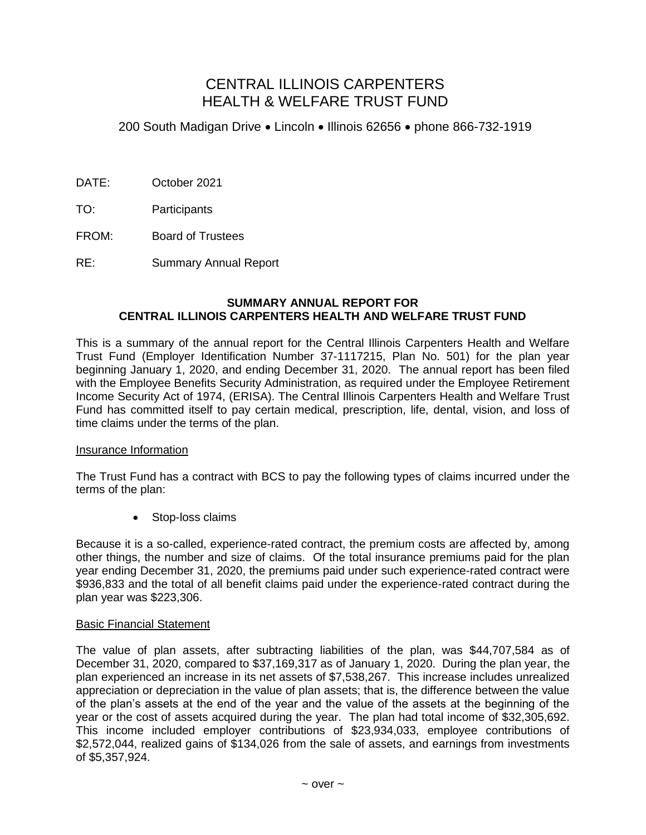# CENTRAL ILLINOIS CARPENTERS HEALTH & WELFARE TRUST FUND

200 South Madigan Drive Lincoln Illinois 62656 phone 866-732-1919

- DATE: October 2021
- TO: Participants
- FROM: Board of Trustees
- RE: Summary Annual Report

## **SUMMARY ANNUAL REPORT FOR CENTRAL ILLINOIS CARPENTERS HEALTH AND WELFARE TRUST FUND**

This is a summary of the annual report for the Central Illinois Carpenters Health and Welfare Trust Fund (Employer Identification Number 37-1117215, Plan No. 501) for the plan year beginning January 1, 2020, and ending December 31, 2020. The annual report has been filed with the Employee Benefits Security Administration, as required under the Employee Retirement Income Security Act of 1974, (ERISA). The Central Illinois Carpenters Health and Welfare Trust Fund has committed itself to pay certain medical, prescription, life, dental, vision, and loss of time claims under the terms of the plan.

## Insurance Information

The Trust Fund has a contract with BCS to pay the following types of claims incurred under the terms of the plan:

• Stop-loss claims

Because it is a so-called, experience-rated contract, the premium costs are affected by, among other things, the number and size of claims. Of the total insurance premiums paid for the plan year ending December 31, 2020, the premiums paid under such experience-rated contract were \$936,833 and the total of all benefit claims paid under the experience-rated contract during the plan year was \$223,306.

#### Basic Financial Statement

The value of plan assets, after subtracting liabilities of the plan, was \$44,707,584 as of December 31, 2020, compared to \$37,169,317 as of January 1, 2020. During the plan year, the plan experienced an increase in its net assets of \$7,538,267. This increase includes unrealized appreciation or depreciation in the value of plan assets; that is, the difference between the value of the plan's assets at the end of the year and the value of the assets at the beginning of the year or the cost of assets acquired during the year. The plan had total income of \$32,305,692. This income included employer contributions of \$23,934,033, employee contributions of \$2,572,044, realized gains of \$134,026 from the sale of assets, and earnings from investments of \$5,357,924.